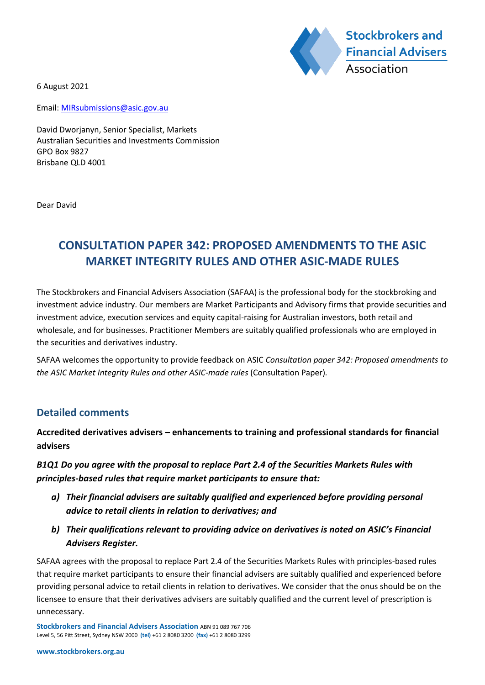

6 August 2021

Email: MIRsubmissions@asic.gov.au

David Dworjanyn, Senior Specialist, Markets Australian Securities and Investments Commission GPO Box 9827 Brisbane QLD 4001

Dear David

# **CONSULTATION PAPER 342: PROPOSED AMENDMENTS TO THE ASIC MARKET INTEGRITY RULES AND OTHER ASIC-MADE RULES**

The Stockbrokers and Financial Advisers Association (SAFAA) is the professional body for the stockbroking and investment advice industry. Our members are Market Participants and Advisory firms that provide securities and investment advice, execution services and equity capital-raising for Australian investors, both retail and wholesale, and for businesses. Practitioner Members are suitably qualified professionals who are employed in the securities and derivatives industry.

SAFAA welcomes the opportunity to provide feedback on ASIC *Consultation paper 342: Proposed amendments to the ASIC Market Integrity Rules and other ASIC-made rules* (Consultation Paper)*.*

### **Detailed comments**

**Accredited derivatives advisers – enhancements to training and professional standards for financial advisers**

*B1Q1 Do you agree with the proposal to replace Part 2.4 of the Securities Markets Rules with principles-based rules that require market participants to ensure that:*

- *a) Their financial advisers are suitably qualified and experienced before providing personal advice to retail clients in relation to derivatives; and*
- *b) Their qualifications relevant to providing advice on derivatives is noted on ASIC's Financial Advisers Register.*

SAFAA agrees with the proposal to replace Part 2.4 of the Securities Markets Rules with principles-based rules that require market participants to ensure their financial advisers are suitably qualified and experienced before providing personal advice to retail clients in relation to derivatives. We consider that the onus should be on the licensee to ensure that their derivatives advisers are suitably qualified and the current level of prescription is unnecessary.

**Stockbrokers and Financial Advisers Association** ABN 91 089 767 706 Level 5, 56 Pitt Street, Sydney NSW 2000 **(tel)** +61 2 8080 3200 **(fax)** +61 2 8080 3299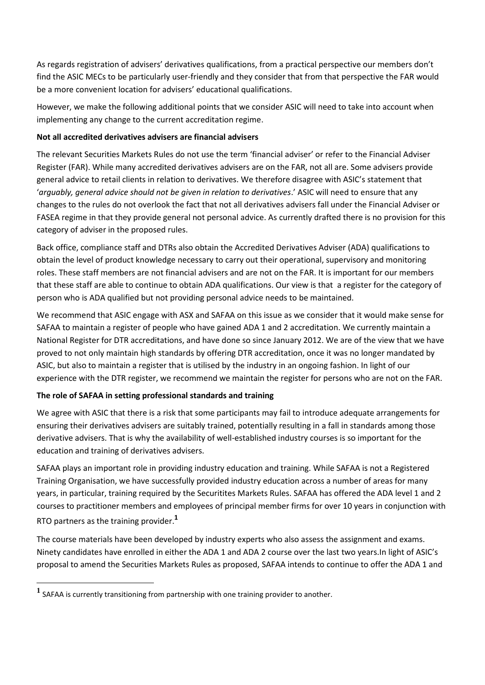As regards registration of advisers' derivatives qualifications, from a practical perspective our members don't find the ASIC MECs to be particularly user-friendly and they consider that from that perspective the FAR would be a more convenient location for advisers' educational qualifications.

However, we make the following additional points that we consider ASIC will need to take into account when implementing any change to the current accreditation regime.

#### **Not all accredited derivatives advisers are financial advisers**

The relevant Securities Markets Rules do not use the term 'financial adviser' or refer to the Financial Adviser Register (FAR). While many accredited derivatives advisers are on the FAR, not all are. Some advisers provide general advice to retail clients in relation to derivatives. We therefore disagree with ASIC's statement that '*arguably, general advice should not be given in relation to derivatives*.' ASIC will need to ensure that any changes to the rules do not overlook the fact that not all derivatives advisers fall under the Financial Adviser or FASEA regime in that they provide general not personal advice. As currently drafted there is no provision for this category of adviser in the proposed rules.

Back office, compliance staff and DTRs also obtain the Accredited Derivatives Adviser (ADA) qualifications to obtain the level of product knowledge necessary to carry out their operational, supervisory and monitoring roles. These staff members are not financial advisers and are not on the FAR. It is important for our members that these staff are able to continue to obtain ADA qualifications. Our view is that a register for the category of person who is ADA qualified but not providing personal advice needs to be maintained.

We recommend that ASIC engage with ASX and SAFAA on this issue as we consider that it would make sense for SAFAA to maintain a register of people who have gained ADA 1 and 2 accreditation. We currently maintain a National Register for DTR accreditations, and have done so since January 2012. We are of the view that we have proved to not only maintain high standards by offering DTR accreditation, once it was no longer mandated by ASIC, but also to maintain a register that is utilised by the industry in an ongoing fashion. In light of our experience with the DTR register, we recommend we maintain the register for persons who are not on the FAR.

### **The role of SAFAA in setting professional standards and training**

We agree with ASIC that there is a risk that some participants may fail to introduce adequate arrangements for ensuring their derivatives advisers are suitably trained, potentially resulting in a fall in standards among those derivative advisers. That is why the availability of well-established industry courses is so important for the education and training of derivatives advisers.

SAFAA plays an important role in providing industry education and training. While SAFAA is not a Registered Training Organisation, we have successfully provided industry education across a number of areas for many years, in particular, training required by the Securitites Markets Rules. SAFAA has offered the ADA level 1 and 2 courses to practitioner members and employees of principal member firms for over 10 years in conjunction with RTO partners as the training provider. **1**

The course materials have been developed by industry experts who also assess the assignment and exams. Ninety candidates have enrolled in either the ADA 1 and ADA 2 course over the last two years.In light of ASIC's proposal to amend the Securities Markets Rules as proposed, SAFAA intends to continue to offer the ADA 1 and

**<sup>1</sup>** SAFAA is currently transitioning from partnership with one training provider to another.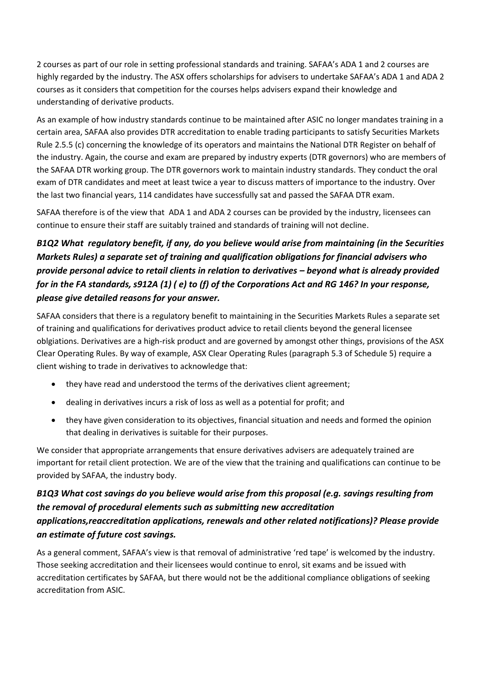2 courses as part of our role in setting professional standards and training. SAFAA's ADA 1 and 2 courses are highly regarded by the industry. The ASX offers scholarships for advisers to undertake SAFAA's ADA 1 and ADA 2 courses as it considers that competition for the courses helps advisers expand their knowledge and understanding of derivative products.

As an example of how industry standards continue to be maintained after ASIC no longer mandates training in a certain area, SAFAA also provides DTR accreditation to enable trading participants to satisfy Securities Markets Rule 2.5.5 (c) concerning the knowledge of its operators and maintains the National DTR Register on behalf of the industry. Again, the course and exam are prepared by industry experts (DTR governors) who are members of the SAFAA DTR working group. The DTR governors work to maintain industry standards. They conduct the oral exam of DTR candidates and meet at least twice a year to discuss matters of importance to the industry. Over the last two financial years, 114 candidates have successfully sat and passed the SAFAA DTR exam.

SAFAA therefore is of the view that ADA 1 and ADA 2 courses can be provided by the industry, licensees can continue to ensure their staff are suitably trained and standards of training will not decline.

# *B1Q2 What regulatory benefit, if any, do you believe would arise from maintaining (in the Securities Markets Rules) a separate set of training and qualification obligations for financial advisers who provide personal advice to retail clients in relation to derivatives – beyond what is already provided for in the FA standards, s912A (1) ( e) to (f) of the Corporations Act and RG 146? In your response, please give detailed reasons for your answer.*

SAFAA considers that there is a regulatory benefit to maintaining in the Securities Markets Rules a separate set of training and qualifications for derivatives product advice to retail clients beyond the general licensee oblgiations. Derivatives are a high-risk product and are governed by amongst other things, provisions of the ASX Clear Operating Rules. By way of example, ASX Clear Operating Rules (paragraph 5.3 of Schedule 5) require a client wishing to trade in derivatives to acknowledge that:

- they have read and understood the terms of the derivatives client agreement;
- dealing in derivatives incurs a risk of loss as well as a potential for profit; and
- they have given consideration to its objectives, financial situation and needs and formed the opinion that dealing in derivatives is suitable for their purposes.

We consider that appropriate arrangements that ensure derivatives advisers are adequately trained are important for retail client protection. We are of the view that the training and qualifications can continue to be provided by SAFAA, the industry body.

# *B1Q3 What cost savings do you believe would arise from this proposal (e.g. savings resulting from the removal of procedural elements such as submitting new accreditation applications,reaccreditation applications, renewals and other related notifications)? Please provide an estimate of future cost savings.*

As a general comment, SAFAA's view is that removal of administrative 'red tape' is welcomed by the industry. Those seeking accreditation and their licensees would continue to enrol, sit exams and be issued with accreditation certificates by SAFAA, but there would not be the additional compliance obligations of seeking accreditation from ASIC.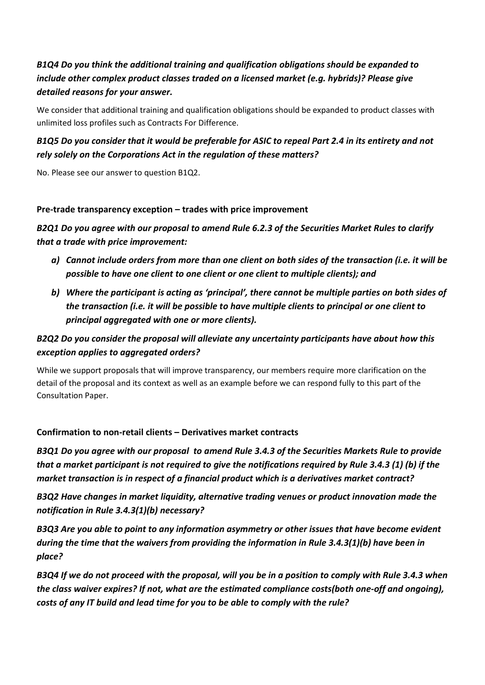# *B1Q4 Do you think the additional training and qualification obligations should be expanded to include other complex product classes traded on a licensed market (e.g. hybrids)? Please give detailed reasons for your answer.*

We consider that additional training and qualification obligations should be expanded to product classes with unlimited loss profiles such as Contracts For Difference.

### *B1Q5 Do you consider that it would be preferable for ASIC to repeal Part 2.4 in its entirety and not rely solely on the Corporations Act in the regulation of these matters?*

No. Please see our answer to question B1Q2.

### **Pre-trade transparency exception – trades with price improvement**

*B2Q1 Do you agree with our proposal to amend Rule 6.2.3 of the Securities Market Rules to clarify that a trade with price improvement:*

- *a) Cannot include orders from more than one client on both sides of the transaction (i.e. it will be possible to have one client to one client or one client to multiple clients); and*
- *b) Where the participant is acting as 'principal', there cannot be multiple parties on both sides of the transaction (i.e. it will be possible to have multiple clients to principal or one client to principal aggregated with one or more clients).*

### *B2Q2 Do you consider the proposal will alleviate any uncertainty participants have about how this exception applies to aggregated orders?*

While we support proposals that will improve transparency, our members require more clarification on the detail of the proposal and its context as well as an example before we can respond fully to this part of the Consultation Paper.

### **Confirmation to non-retail clients – Derivatives market contracts**

*B3Q1 Do you agree with our proposal to amend Rule 3.4.3 of the Securities Markets Rule to provide that a market participant is not required to give the notifications required by Rule 3.4.3 (1) (b) if the market transaction is in respect of a financial product which is a derivatives market contract?*

*B3Q2 Have changes in market liquidity, alternative trading venues or product innovation made the notification in Rule 3.4.3(1)(b) necessary?*

*B3Q3 Are you able to point to any information asymmetry or other issues that have become evident during the time that the waivers from providing the information in Rule 3.4.3(1)(b) have been in place?*

*B3Q4 If we do not proceed with the proposal, will you be in a position to comply with Rule 3.4.3 when the class waiver expires? If not, what are the estimated compliance costs(both one-off and ongoing), costs of any IT build and lead time for you to be able to comply with the rule?*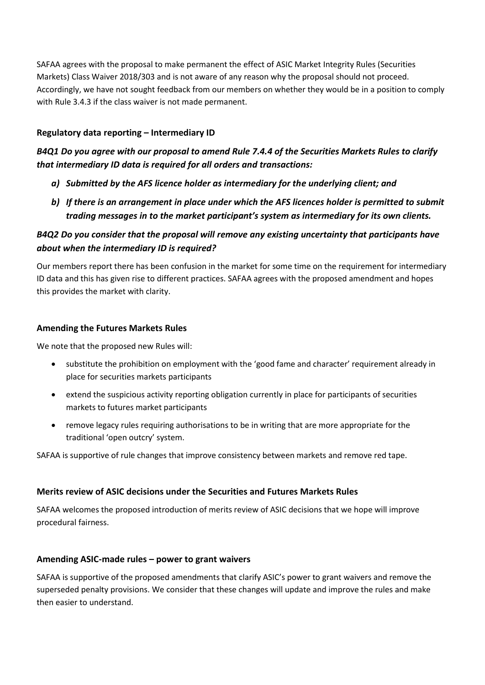SAFAA agrees with the proposal to make permanent the effect of ASIC Market Integrity Rules (Securities Markets) Class Waiver 2018/303 and is not aware of any reason why the proposal should not proceed. Accordingly, we have not sought feedback from our members on whether they would be in a position to comply with Rule 3.4.3 if the class waiver is not made permanent.

### **Regulatory data reporting – Intermediary ID**

*B4Q1 Do you agree with our proposal to amend Rule 7.4.4 of the Securities Markets Rules to clarify that intermediary ID data is required for all orders and transactions:*

- *a) Submitted by the AFS licence holder as intermediary for the underlying client; and*
- *b) If there is an arrangement in place under which the AFS licences holder is permitted to submit trading messages in to the market participant's system as intermediary for its own clients.*

### *B4Q2 Do you consider that the proposal will remove any existing uncertainty that participants have about when the intermediary ID is required?*

Our members report there has been confusion in the market for some time on the requirement for intermediary ID data and this has given rise to different practices. SAFAA agrees with the proposed amendment and hopes this provides the market with clarity.

### **Amending the Futures Markets Rules**

We note that the proposed new Rules will:

- substitute the prohibition on employment with the 'good fame and character' requirement already in place for securities markets participants
- extend the suspicious activity reporting obligation currently in place for participants of securities markets to futures market participants
- remove legacy rules requiring authorisations to be in writing that are more appropriate for the traditional 'open outcry' system.

SAFAA is supportive of rule changes that improve consistency between markets and remove red tape.

### **Merits review of ASIC decisions under the Securities and Futures Markets Rules**

SAFAA welcomes the proposed introduction of merits review of ASIC decisions that we hope will improve procedural fairness.

#### **Amending ASIC-made rules – power to grant waivers**

SAFAA is supportive of the proposed amendments that clarify ASIC's power to grant waivers and remove the superseded penalty provisions. We consider that these changes will update and improve the rules and make then easier to understand.